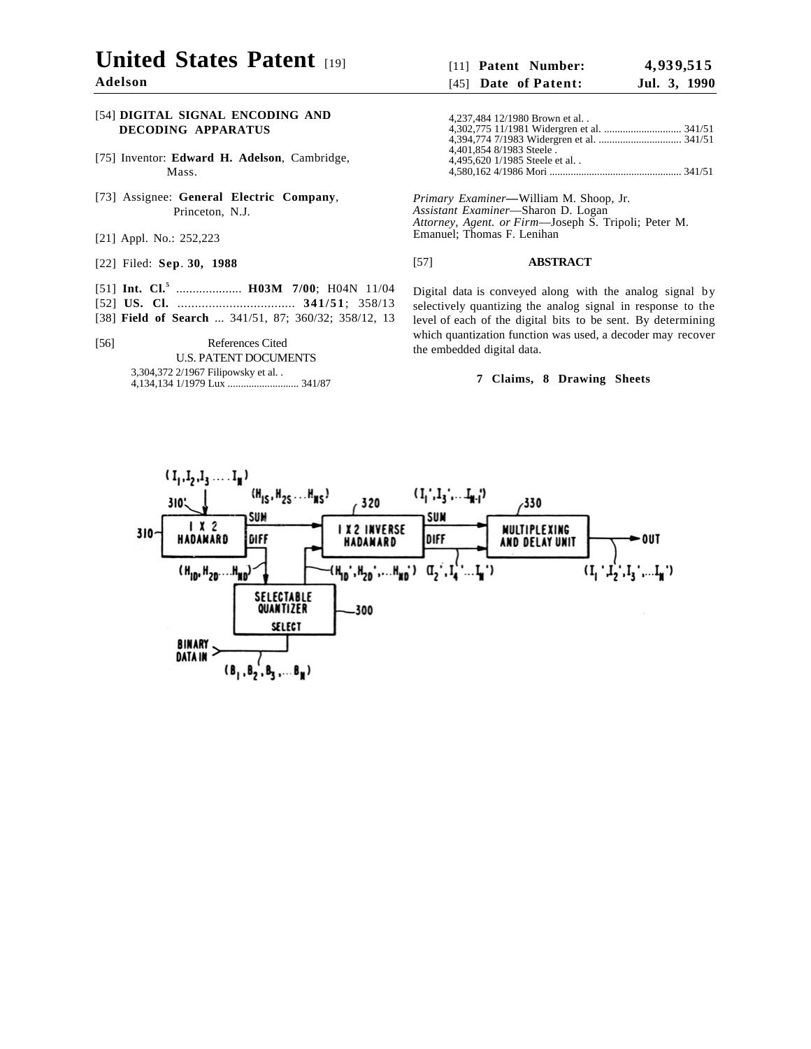# **United States Patent**

**Adelson**

## [54] **DIGITAL SIGNAL ENCODING AND DECODING APPARATUS**

- [75] Inventor: **Edward H. Adelson**, Cambridge, Mass.
- [73] Assignee: **General Electric Company**, Princeton, N.J.
- [21] Appl. No.: 252,223
- [22] Filed: **Sep**. **30, 1988**
- [51] **Int. Cl.**<sup>5</sup> ................... **H03M** 7/00; H04N 11/04
- [52] **US. Cl.** .................................. **341/51**; 358/13
- [38] **Field of Search** ... 341/51, 87; 360/32; 358/12, 13
- [56] References Cited U.S. PATENT DOCUMENTS

#### 3,304,372 2/1967 Filipowsky et al. . 4,134,134 1/1979 Lux ........................... 341/87

## [11] **Patent Number: 4, 93 9,51 5** [45] **Date of Patent: Jul. 3, 1990**

4,237,484 12/1980 Brown et al. . 4,302,775 11/1981 Widergren et al. ............................. 341/51 4,394,774 7/1983 Widergren et al. ............................... 341/51 4,401,854 8/1983 Steele . 4,495,620 1/1985 Steele et al. . 4,580,162 4/1986 Mori .................................................. 341/51

*Primary Examiner—*William M. Shoop, Jr. *Assistant Examiner*—Sharon D. Logan *Attorney, Agent. or Firm*—Joseph S. Tripoli; Peter M. Emanuel; Thomas F. Lenihan

### [57] **ABSTRACT**

Digital data is conveyed along with the analog signal by selectively quantizing the analog signal in response to the level of each of the digital bits to be sent. By determining which quantization function was used, a decoder may recover the embedded digital data.

## **7 Claims, 8 Drawing Sheets**

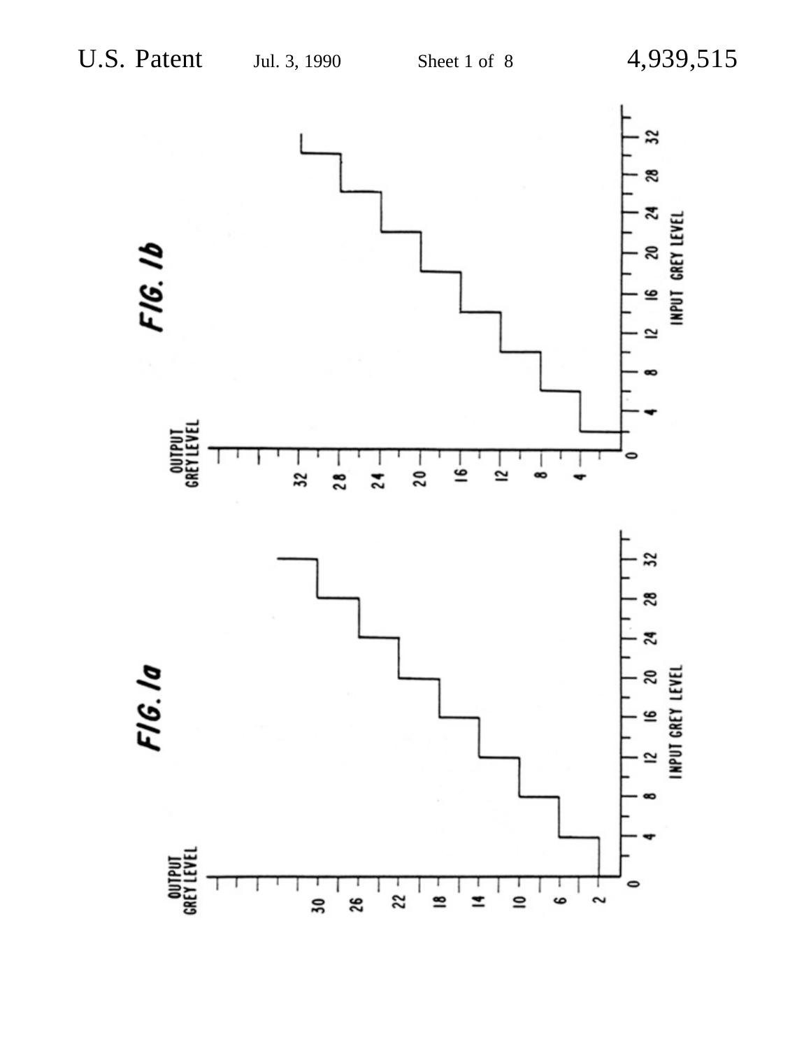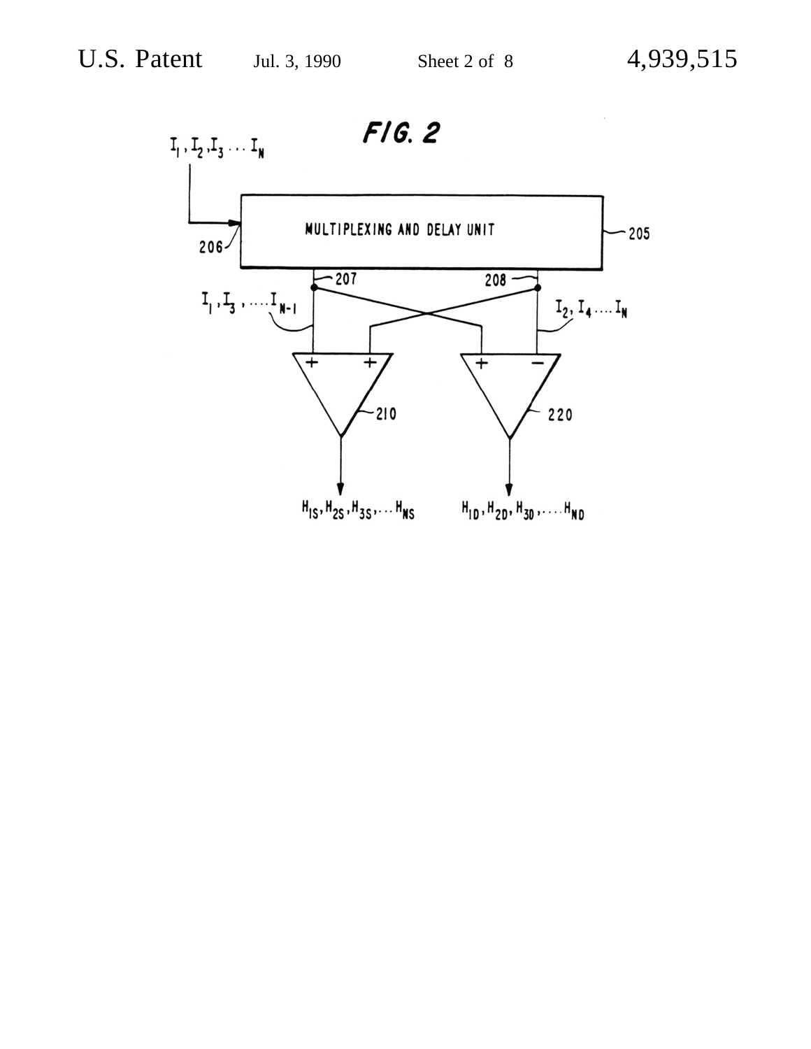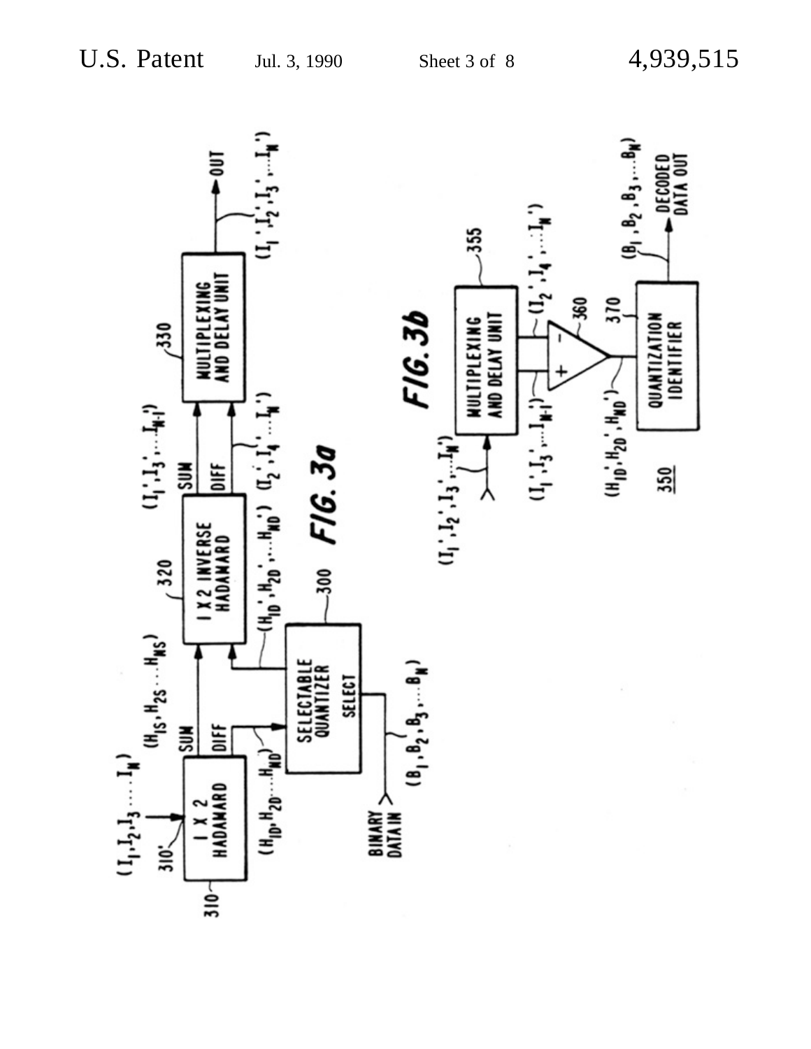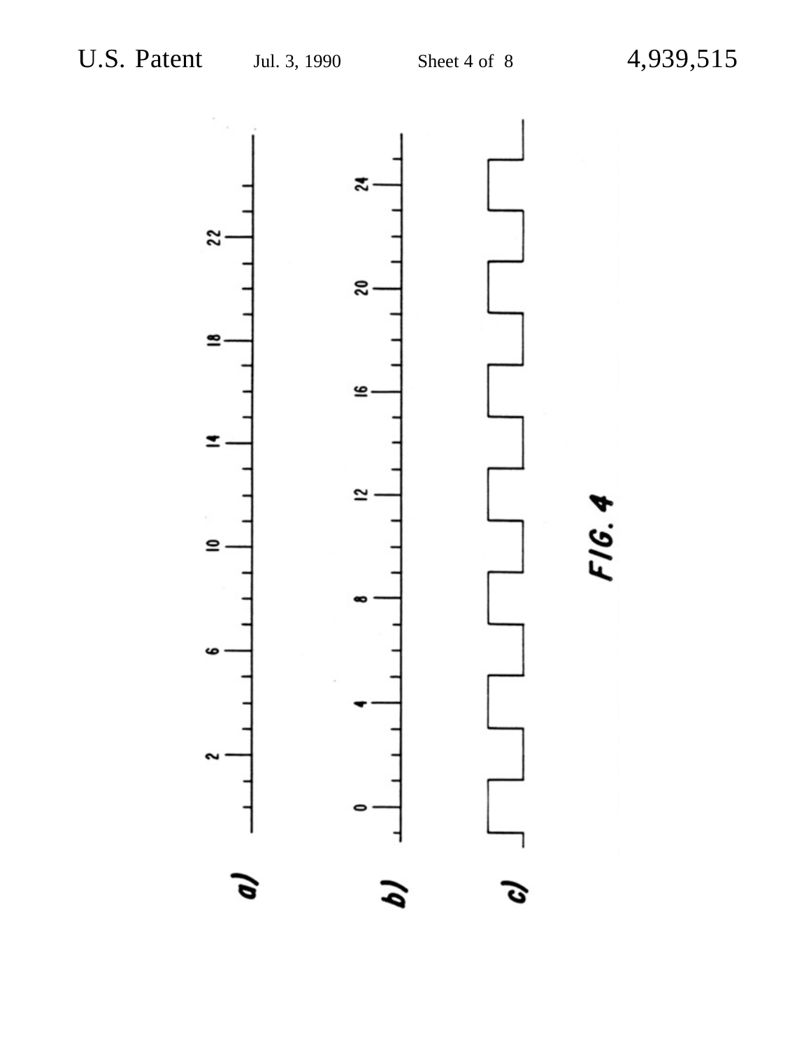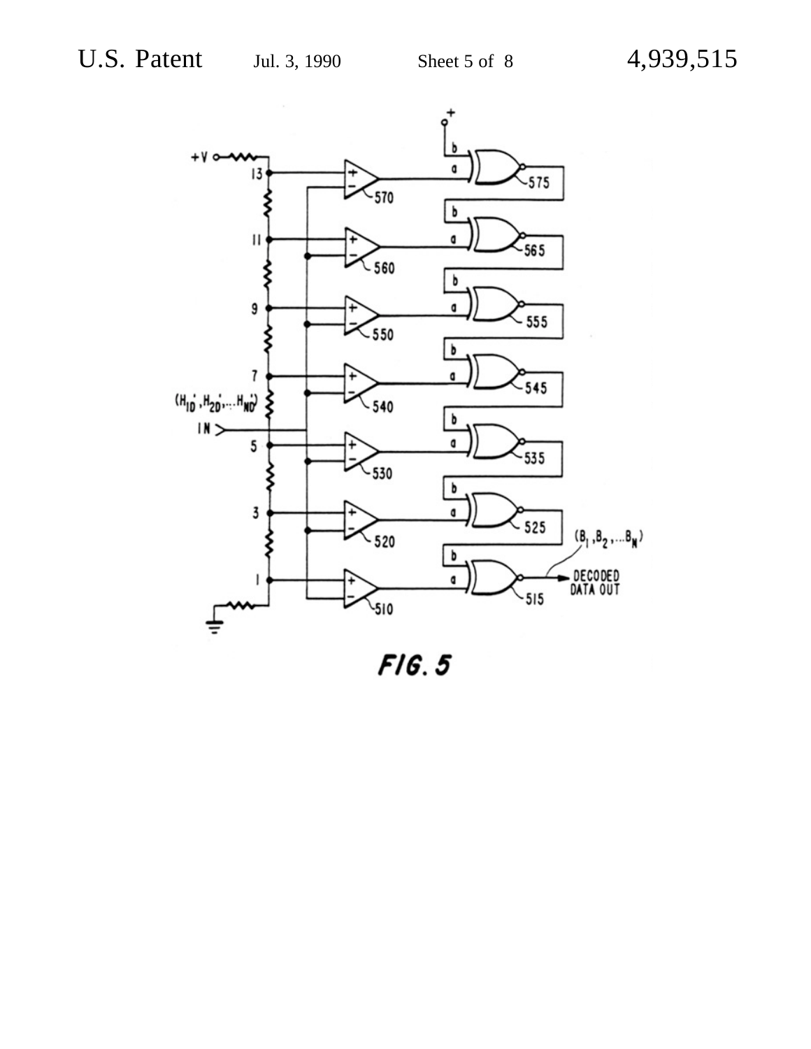

 $F/G.5$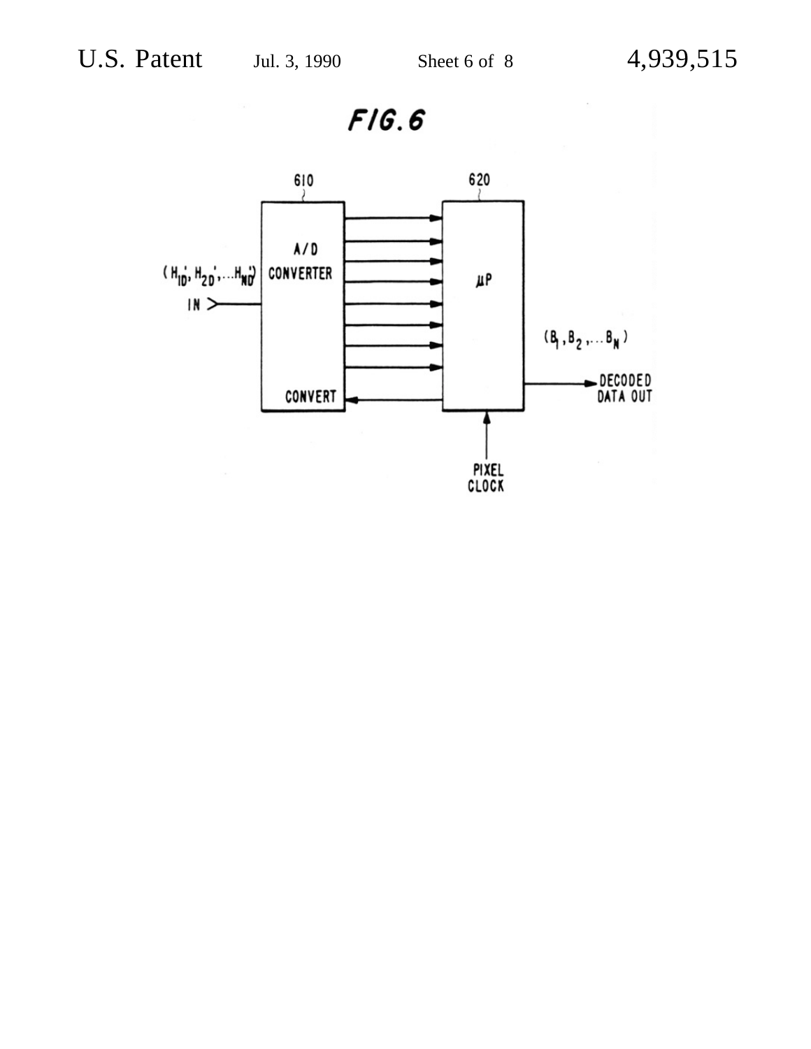$F/G.6$ 

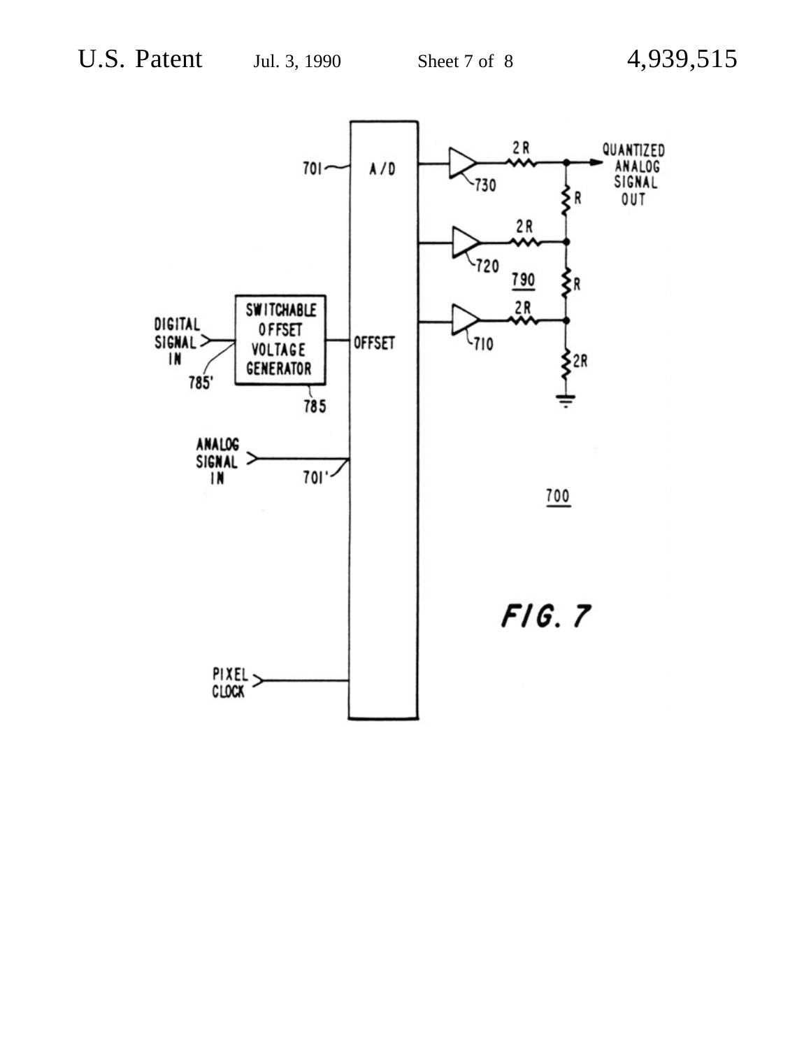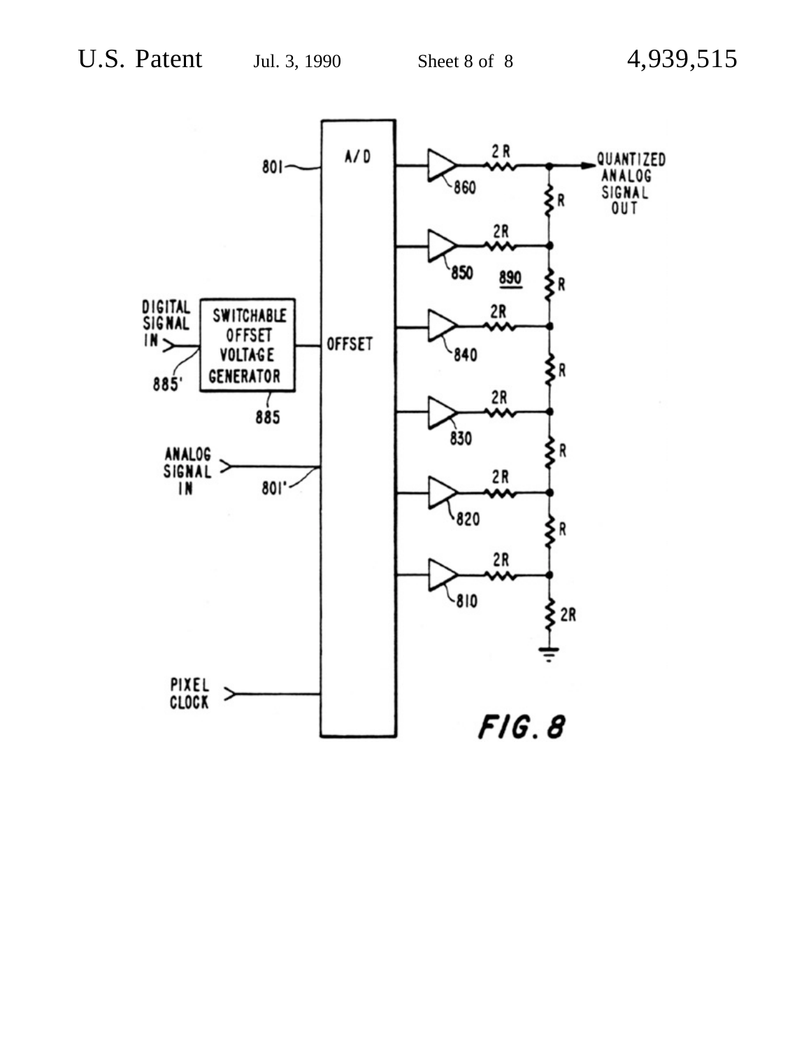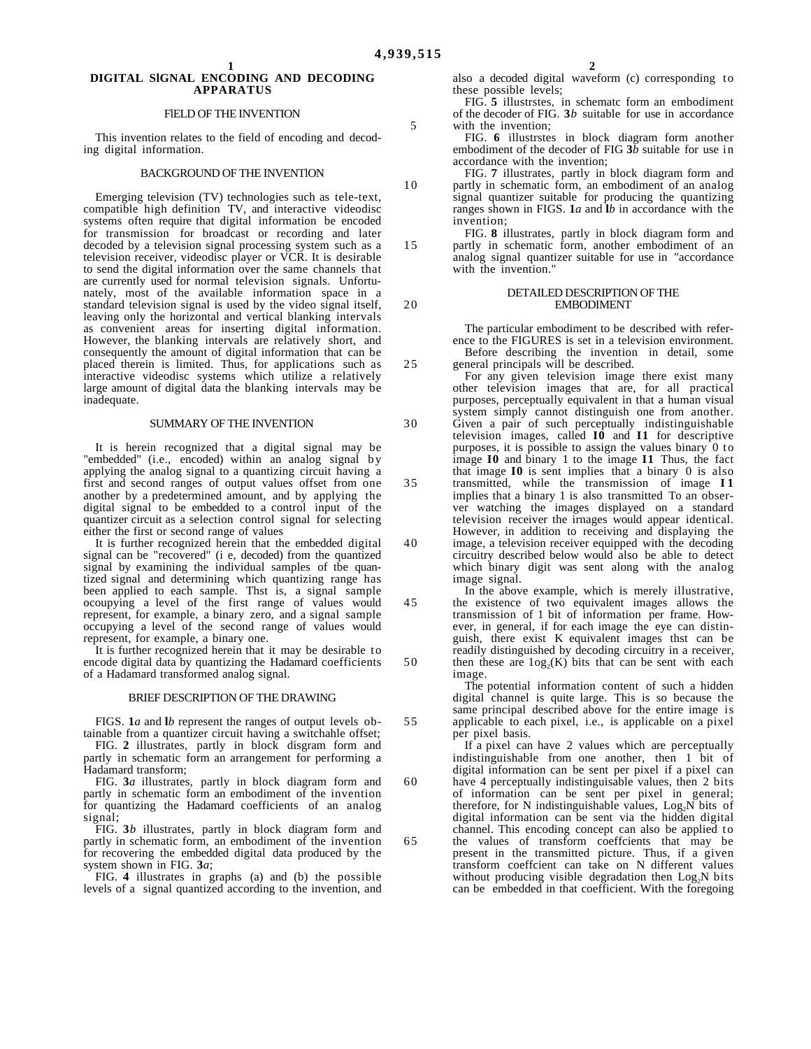#### **1 DIGITAL SlGNAL ENCODING AND DECODING APPARATUS**

#### FlELD OF THE INVENTION

This invention relates to the field of encoding and decoding digital information.

#### BACKGROUND OF THE INVENTlON

Emerging television (TV) technologies such as tele-text, compatible high definition TV, and interactive videodisc systems often require that digital information be encoded for transmission for broadcast or recording and later decoded by a television signal processing system such as a television receiver, videodisc player or VCR. It is desirable to send the digital information over the same channels that are currently used for normal television signals. Unfortunately, most of the available information space in a standard television signal is used by the video signal itself, leaving only the horizontal and vertical blanking intervals as convenient areas for inserting digital information. However, the blanking intervals are relatively short, and consequently the amount of digital information that can be placed therein is limited. Thus, for applications such as interactive videodisc systems which utilize a relatively large amount of digital data the blanking intervals may be inadequate.

#### SUMMARY OF THE INVENTION

It is herein recognized that a digital signal may be "embedded" (i.e., encoded) within an analog signal by applying the analog signal to a quantizing circuit having a first and second ranges of output values offset from one another by a predetermined amount, and by applying the digital signal to be embedded to a control input of the quantizer circuit as a selection control signal for selecting either the first or second range of values

It is further recognized herein that the embedded digital signal can be "recovered" (i e, decoded) from the quantized signal by examining the individual samples of tbe quantized signal and determining which quantizing range has been applied to each sample. Thst is, a signal sample ocoupying a level of the first range of values would represent, for example, a binary zero, and a signal sample occupying a level of the second range of values would represent, for example, a binary one.

It is further recognized herein that it may be desirable to encode digital data by quantizing the Hadamard coefficients of a Hadamard transformed analog signal.

#### BRIEF DESCRIPTION OF THE DRAWING

FIGS. **1***a* and **l***b* represent the ranges of output levels obtainable from a quantizer circuit having a switchahle offset;

FIG. 2 illustrates, partly in block disgram form and partly in schematic form an arrangement for performing a Hadamard transform;

FIG. **3***a* illustrates, partly in block diagram form and partly in schematic form an embodiment of the invention for quantizing the Hadamard coefficients of an analog signal;

FIG. **3***b* illustrates, partly in block diagram form and partly in schematic form, an embodiment of the invention for recovering the embedded digital data produced by the system shown in FIG. **3***a*;

FIG. **4** illustrates in graphs (a) and (b) the possible levels of a signal quantized according to the invention, and **2**

also a decoded digital waveform (c) corresponding to these possible levels;

FIG. **5** illustrstes, in schematc form an embodiment of the decoder of FIG. **3***b* suitable for use in accordance with the invention;

FIG. **6** illustrstes in block diagram form another embodiment of the decoder of FIG **3***b* suitable for use in accordance with the invention;

FIG. **7** illustrates, partly in block diagram form and partly in schematic form, an embodiment of an analog signal quantizer suitable for producing the quantizing ranges shown in FIGS. **1***a* and **l***b* in accordance with the invention;

FIG. **8** illustrates, partly in block diagram form and partly in schematic form, another embodiment of an analog signal quantizer suitable for use in "accordance with the invention."

#### DETAILED DESCRIPTION OF THE EMBODIMENT

The particular embodiment to be described with reference to the FIGURES is set in a television environment. Before describing the invention in detail, some general principals will be described.

For any given television image there exist many other television images that are, for all practical purposes, perceptually equivalent in that a human visual system simply cannot distinguish one from another. Given a pair of such perceptually indistinguishable television images, called **I0** and **I1** for descriptive purposes, it is possible to assign the values binary 0 to image **I0** and binary 1 to the image **I1** Thus, the fact that image **I0** is sent implies that a binary 0 is also transmitted, while the transmission of image **I 1** implies that a binary 1 is also transmitted To an observer watching the images displayed on a standard television receiver the irnages would appear identical. However, in addition to receiving and displaying the image, a television receiver equipped with the decoding circuitry described below would also be able to detect which binary digit was sent along with the analog image signal.

In the above example, which is merely illustrative, the existence of two equivalent images allows the transmission of 1 bit of information per frame. However, in general, if for each image the eye can distinguish, there exist K equivalent images thst can be readily distinguished by decoding circuitry in a receiver, then these are  $log_2(K)$  bits that can be sent with each image.

The potential information content of such a hidden digital channel is quite large. This is so because the same principal described above for the entire image is applicable to each pixel, i.e., is applicable on a pixel per pixel basis.

If a pixel can have 2 values which are perceptually indistinguishable from one another, then 1 bit of digital information can be sent per pixel if a pixel can have 4 perceptually indistinguisable values, then 2 bits of information can be sent per pixel in general; therefore, for N indistinguishable values,  $Log_2N$  bits of digital information can be sent via the hidden digital channel. This encoding concept can also be applied to the values of transform coeffcients that may be present in the transmitted picture. Thus, if a given transform coeffcient can take on N different values without producing visible degradation then  $Log_{2}N$  bits can be embedded in that coefficient. With the foregoing

10

15

20

25

30

35

40

45

50

55

60

65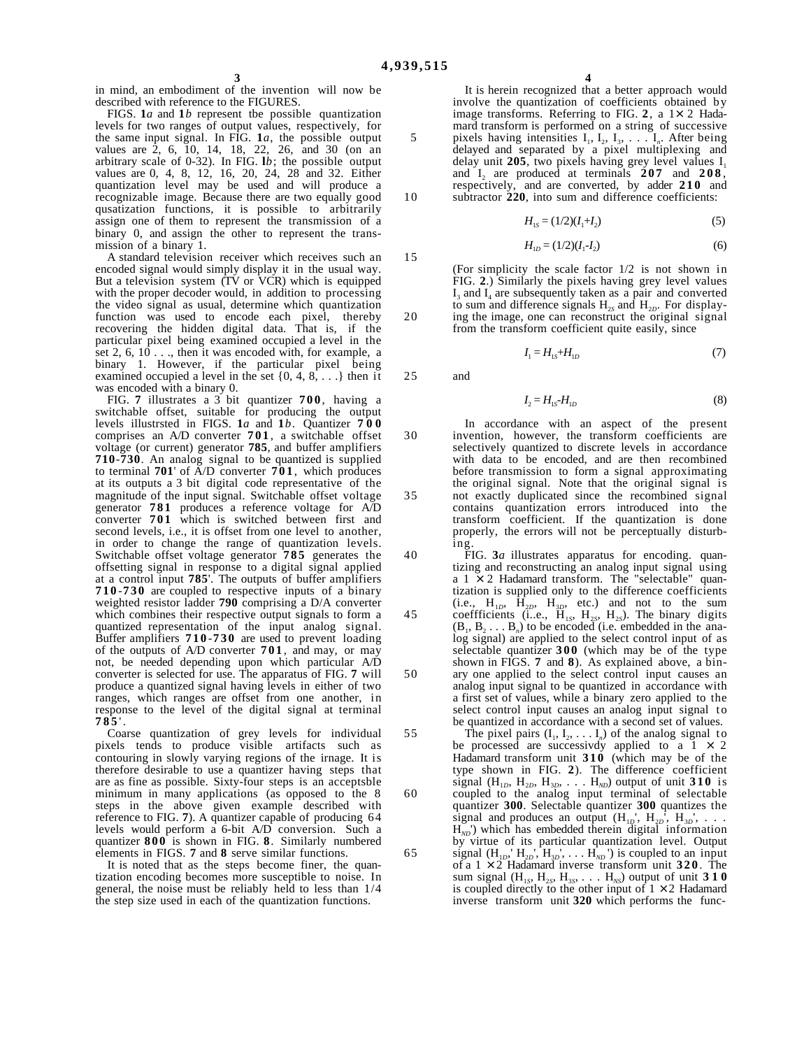5

10

15

20

25

30

35

40

45

in mind, an embodiment of the invention will now be described with reference to the FIGURES.

FIGS. **1***a* and **1***b* represent tbe possible quantization levels for two ranges of output values, respectively, for the same input signal. In FIG. **1***a*, the possible output values are 2, 6, 10, 14, 18, 22, 26, and 30 (on an arbitrary scale of 0-32). In FIG. **l***b*; the possible output values are 0, 4, 8, 12, 16, 20, 24, 28 and 32. Either quantization level may be used and will produce a recognizable image. Because there are two equally good qusatization functions, it is possible to arbitrarily assign one of them to represent the transmission of a binary 0, and assign the other to represent the transmission of a binary 1.

A standard television receiver which receives such an encoded signal would simply display it in the usual way. But a television system (TV or VCR) which is equipped with the proper decoder would, in addition to processing the video signal as usual, determine which quantization function was used to encode each pixel, thereby recovering the hidden digital data. That is, if the particular pixel being examined occupied a level in the set 2, 6,  $10...$ , then it was encoded with, for example, a binary 1. However, if the particular pixel being examined occupied a level in the set  $\{0, 4, 8, \ldots\}$  then it was encoded with a binary 0.

FIG. **7** illustrates a 3 bit quantizer **700** , having a switchable offset, suitable for producing the output levels illustrsted in FIGS. **1***a* and **1***b*. Quantizer **700** comprises an A/D converter **701** , a switchable offset voltage (or current) generator **785**, and buffer amplifiers **710**-**730**. An analog signal to be quantized is supplied to terminal **701**' of A/D converter **701** , which produces at its outputs a 3 bit digital code representative of the magnitude of the input signal. Switchable offset voltage generator **781** produces a reference voltage for A/D converter **701** which is switched between first and second levels, i.e., it is offset from one level to another, in order to change the range of quantization levels. Switchable offset voltage generator **785** generates the offsetting signal in response to a digital signal applied at a control input **785**'. The outputs of buffer amplifiers **710** -**730** are coupled to respective inputs of a binary weighted resistor ladder **790** comprising a D/A converter which combines their respective output signals to form a quantized representation of the input analog signal. Buffer amplifiers **710** -**730** are used to prevent loading of the outputs of A/D converter **701** , and may, or may not, be needed depending upon which particular A/D converter is selected for use. The apparatus of FIG. **7** will produce a quantized signal having levels in either of two ranges, which ranges are offset from one another, in response to the level of the digital signal at terminal **785** ' .

Coarse quantization of grey levels for individual pixels tends to produce visible artifacts such as contouring in slowly varying regions of the irnage. It is therefore desirable to use a quantizer having steps that are as fine as possible. Sixty-four steps is an acceptsble minimum in many applications (as opposed to the 8 steps in the above given example described with reference to FIG. **7**). A quantizer capable of producing 64 levels would perform a 6-bit A/D conversion. Such a quantizer **800** is shown in FIG. **8**. Similarly numbered elements in FIGS. **7** and **8** serve similar functions.

It is noted that as the steps become finer, the quantization encoding becomes more susceptible to noise. In general, the noise must be reliably held to less than 1/4 the step size used in each of the quantization functions.

**4**

It is herein recognized that a better approach would involve the quantization of coefficients obtained by image transforms. Referring to FIG.  $2$ , a  $1 \times 2$  Hadamard transform is performed on a string of successive pixels having intensities  $I_1, I_2, I_3, \ldots, I_n$ . After being delayed and separated by a pixel multiplexing and delay unit 205, two pixels having grey level values  $I_1$ and  $I_2$  are produced at terminals  $207$  and  $208$ , respectively, and are converted, by adder **210** and subtractor 220, into sum and difference coefficients:

$$
H_{1s} = (1/2)(I_1 + I_2) \tag{5}
$$

$$
H_{1D} = (1/2)(I_1 - I_2) \tag{6}
$$

(For simplicity the scale factor 1/2 is not shown in FIG. **2**.) Similarly the pixels having grey level values  $I_3$  and  $I_4$  are subsequently taken as a pair and converted to sum and difference signals  $H_{2S}$  and  $H_{2D}$ . For displaying the image, one can reconstruct the original signal from the transform coefficient quite easily, since

$$
I_{1} = H_{1S} + H_{1D} \tag{7}
$$

and

$$
I_2 = H_{1S} - H_{1D} \tag{8}
$$

In accordance with an aspect of the present invention, however, the transform coefficients are selectively quantized to discrete levels in accordance with data to be encoded, and are then recombined before transmission to form a signal approximating the original signal. Note that the original signal is not exactly duplicated since the recombined signal contains quantization errors introduced into the transform coefficient. If the quantization is done properly, the errors will not be perceptually disturbing.

FIG. **3***a* illustrates apparatus for encoding. quantizing and reconstructing an analog input signal using a  $1 \times 2$  Hadamard transform. The "selectable" quantization is supplied only to the difference coefficients  $(i.e., H<sub>1D</sub>, H<sub>2D</sub>, H<sub>3D</sub>, etc.)$  and not to the sum coeffficients (i.e.,  $\overline{H}_{1S}$ ,  $H_{2S}$ ,  $H_{2S}$ ). The binary digits  $(B_1, B_2, \ldots, B_n)$  to be encoded (i.e. embedded in the analog signal) are applied to the select control input of as selectable quantizer **300** (which may be of the type shown in FIGS. **7** and **8**). As explained above, a binary one applied to the select control input causes an analog input signal to be quantized in accordance with a first set of values, while a binary zero applied to the select control input causes an analog input signal to be quantized in accordance with a second set of values.

The pixel pairs  $(I_1, I_2, \ldots, I_n)$  of the analog signal to be processed are successively applied to a 1  $\times$  2 Hadamard transform unit **310** (which may be of the type shown in FIG. **2**). The difference coefficient signal  $(H_{1D}, H_{2D}, H_{3D}, \ldots, H_{ND})$  output of unit **310** is coupled to the analog input terminal of selectable quantizer **300**. Selectable quantizer **300** quantizes the signal and produces an output  $(H_{1D}, H_{2D}, H_{3D}, \ldots)$  $H_{ND}$ <sup>'</sup>) which has embedded therein digital information by virtue of its particular quantization level. Output signal  $(H_{1D}, H_{2D}, H_{3D}, \ldots, H_{ND})$  is coupled to an input of a 1 × 2 Hadamard inverse transform unit **320** . The sum signal  $(H_{1s}, H_{2s}, H_{3s}, \ldots, H_{NS})$  output of unit **310** is coupled directly to the other input of  $1 \times 2$  Hadamard inverse transform unit **320** which performs the func-

50

55

60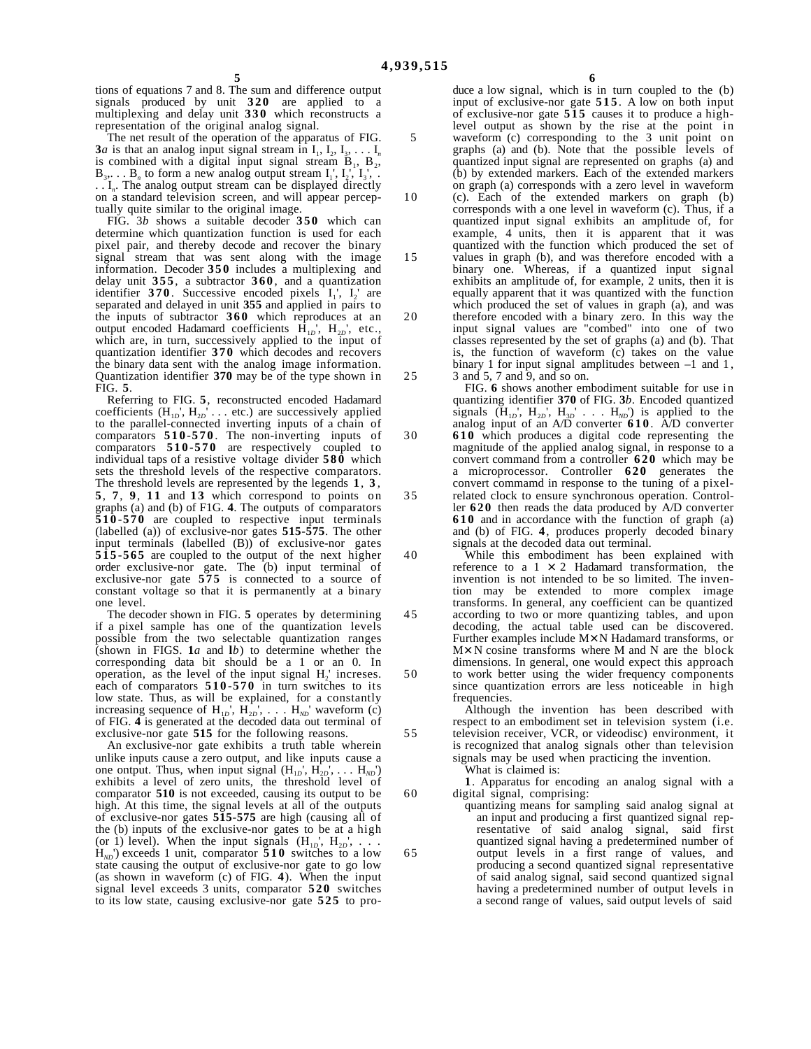5

10

15

20

25

30

35

40

45

50

55

60

65

tions of equations 7 and 8. The sum and difference output signals produced by unit **320** are applied to a multiplexing and delay unit **330** which reconstructs a representation of the original analog signal.

The net result of the operation of the apparatus of FIG. **3***a* is that an analog input signal stream in  $I_1, I_2, I_3, \ldots I_n$ is combined with a digital input signal stream  $B_1$ ,  $B_2$ ,  $B_3, \ldots, B_n$  to form a new analog output stream  $I_1, I_2, I_3, \ldots$ . . I*n*. The analog output stream can be displayed directly on a standard television screen, and will appear perceptually quite similar to the original image.

FIG. 3*b* shows a suitable decoder **350** which can determine which quantization function is used for each pixel pair, and thereby decode and recover the binary signal stream that was sent along with the image information. Decoder **350** includes a multiplexing and delay unit **355** , a subtractor **360** , and a quantization identifier  $370$ . Successive encoded pixels  $I_1$ ,  $I_2$  are separated and delayed in unit **355** and applied in pairs to the inputs of subtractor **360** which reproduces at an output encoded Hadamard coefficients  $\hat{H}_{1D}$ <sup>'</sup>,  $H_{2D}$ <sup>'</sup>, etc., which are, in turn, successively applied to the input of quantization identifier **370** which decodes and recovers the binary data sent with the analog image information. Quantization identifier **370** may be of the type shown in FIG. **5**.

Referring to FIG. **5**, reconstructed encoded Hadamard coefficients  $(H_{1D}^+, H_{2D}^+, \ldots$  etc.) are successively applied to the parallel-connected inverting inputs of a chain of comparators **510** -**570** . The non-inverting inputs of comparators **510** -**570** are respectively coupled to individual taps of a resistive voltage divider **580** which sets the threshold levels of the respective comparators. The threshold levels are represented by the legends **1**, **3** , **5**, **7**, **9**, **11** and **13** which correspond to points on graphs (a) and (b) of F1G. **4**. The outputs of comparators **510** -**570** are coupled to respective input terminals (labelled (a)) of exclusive-nor gates **515**-**575**. The other input terminals (labelled (B)) of exclusive-nor gates **515** -**565** are coupled to the output of the next higher order exclusive-nor gate. The (b) input terminal of exclusive-nor gate **575** is connected to a source of constant voltage so that it is permanently at a binary one level.

The decoder shown in FIG. **5** operates by determining if a pixel sample has one of the quantization levels possible from the two selectable quantization ranges (shown in FIGS. **1***a* and **l***b*) to determine whether the corresponding data bit should be a 1 or an 0. In operation, as the level of the input signal  $H_2$ ' increses. each of comparators **510** -**570** in turn switches to its low state. Thus, as will be explained, for a constantly increasing sequence of  $H_{1D}$ <sup>'</sup>,  $H_{2D}$ <sup>'</sup>, . . .  $H_{ND}$ <sup>'</sup> waveform (c) of FIG. 4 is generated at the decoded data out terminal of exclusive-nor gate **515** for the following reasons.

An exclusive-nor gate exhibits a truth table wherein unlike inputs cause a zero output, and like inputs cause a one ontput. Thus, when input signal  $(H_{1D}, H_{2D}, \ldots, H_{ND})$ exhibits a level of zero units, the threshold level of comparator **510** is not exceeded, causing its output to be high. At this time, the signal levels at all of the outputs of exclusive-nor gates **515**-**575** are high (causing all of the (b) inputs of the exclusive-nor gates to be at a high (or 1) level). When the input signals  $(H_{1D}, H_{2D}, \ldots)$  $H_{ND}$ ) exceeds 1 unit, comparator **510** switches to a low state causing the output of exclusive-nor gate to go low (as shown in waveform (c) of FIG. **4**). When the input signal level exceeds 3 units, comparator **520** switches to its low state, causing exclusive-nor gate **525** to pro-

duce a low signal, which is in turn coupled to the (b) input of exclusive-nor gate **515** . A low on both input of exclusive-nor gate **515** causes it to produce a highlevel output as shown by the rise at the point in waveform (c) corresponding to the 3 unit point on graphs (a) and (b). Note that the possible levels of quantized input signal are represented on graphs (a) and (b) by extended markers. Each of the extended markers on graph (a) corresponds with a zero level in waveform (c). Each of the extended markers on graph (b) corresponds with a one level in waveform (c). Thus, if a quantized input signal exhibits an amplitude of, for example, 4 units, then it is apparent that it was quantized with the function which produced the set of values in graph (b), and was therefore encoded with a binary one. Whereas, if a quantized input signal exhibits an amplitude of, for example, 2 units, then it is equally apparent that it was quantized with the function which produced the set of values in graph (a), and was therefore encoded with a binary zero. In this way the input signal values are "combed" into one of two classes represented by the set of graphs (a) and (b). That is, the function of waveform (c) takes on the value binary 1 for input signal amplitudes between  $-1$  and 1, 3 and 5, 7 and 9, and so on.

FIG. **6** shows another embodiment suitable for use in quantizing identifier **370** of FIG. **3***b*. Encoded quantized signals  $(H_{1D}^{\dagger}, H_{2D}^{\dagger}, H_{3D}^{\dagger})$  . . .  $H_{ND}^{\dagger}$  is applied to the analog input of an A/D converter **610**. A/D converter **610** which produces a digital code representing the magnitude of the applied analog signal, in response to a convert command from a controller **620** which may be a microprocessor. Controller **620** generates the convert commamd in response to the tuning of a pixelrelated clock to ensure synchronous operation. Controller **620** then reads the data produced by A/D converter **610** and in accordance with the function of graph (a) and (b) of FIG. **4**, produces properly decoded binary signals at the decoded data out terminal.

While this embodiment has been explained with reference to a  $1 \times 2$  Hadamard transformation, the invention is not intended to be so limited. The invention may be extended to more complex image transforms. In general, any coefficient can be quantized according to two or more quantizing tables, and upon decoding, the actual table used can be discovered. Further examples include M× N Hadamard transforms, or M× N cosine transforms where M and N are the block dimensions. In general, one would expect this approach to work better using the wider frequency components since quantization errors are less noticeable in high frequencies.

Although the invention has been described with respect to an embodiment set in television system (i.e. television receiver, VCR, or videodisc) environment, it is recognized that analog signals other than television signals may be used when practicing the invention. What is claimed is:

**1**. Apparatus for encoding an analog signal with a digital signal, comprising:

quantizing means for sampling said analog signal at an input and producing a first quantized signal representative of said analog signal, said first quantized signal having a predetermined number of output levels in a first range of values, and producing a second quantized signal representative of said analog signal, said second quantized signal having a predetermined number of output levels in a second range of values, said output levels of said